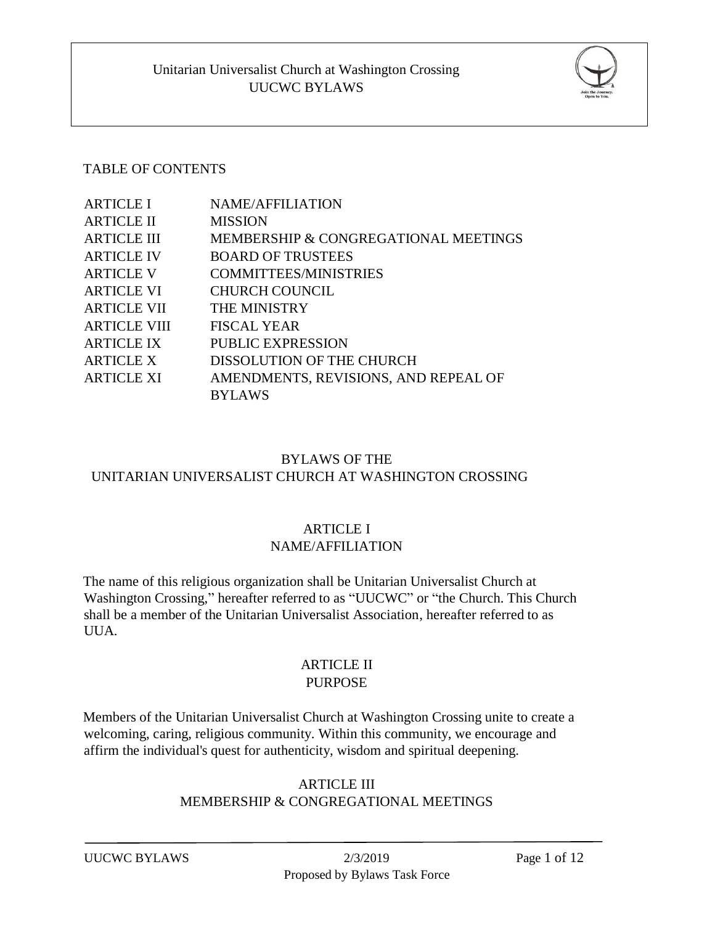

### TABLE OF CONTENTS

| <b>ARTICLE I</b>    | <b>NAME/AFFILIATION</b>              |
|---------------------|--------------------------------------|
| <b>ARTICLE II</b>   | <b>MISSION</b>                       |
| <b>ARTICLE III</b>  | MEMBERSHIP & CONGREGATIONAL MEETINGS |
| <b>ARTICLE IV</b>   | <b>BOARD OF TRUSTEES</b>             |
| <b>ARTICLE V</b>    | <b>COMMITTEES/MINISTRIES</b>         |
| <b>ARTICLE VI</b>   | <b>CHURCH COUNCIL</b>                |
| <b>ARTICLE VII</b>  | <b>THE MINISTRY</b>                  |
| <b>ARTICLE VIII</b> | <b>FISCAL YEAR</b>                   |
| <b>ARTICLE IX</b>   | PUBLIC EXPRESSION                    |
| <b>ARTICLE X</b>    | DISSOLUTION OF THE CHURCH            |
| <b>ARTICLE XI</b>   | AMENDMENTS, REVISIONS, AND REPEAL OF |
|                     | <b>BYLAWS</b>                        |

# BYLAWS OF THE UNITARIAN UNIVERSALIST CHURCH AT WASHINGTON CROSSING

# ARTICLE I

### NAME/AFFILIATION

The name of this religious organization shall be Unitarian Universalist Church at Washington Crossing," hereafter referred to as "UUCWC" or "the Church. This Church shall be a member of the Unitarian Universalist Association, hereafter referred to as UUA.

### ARTICLE II PURPOSE

Members of the Unitarian Universalist Church at Washington Crossing unite to create a welcoming, caring, religious community. Within this community, we encourage and affirm the individual's quest for authenticity, wisdom and spiritual deepening.

# ARTICLE III MEMBERSHIP & CONGREGATIONAL MEETINGS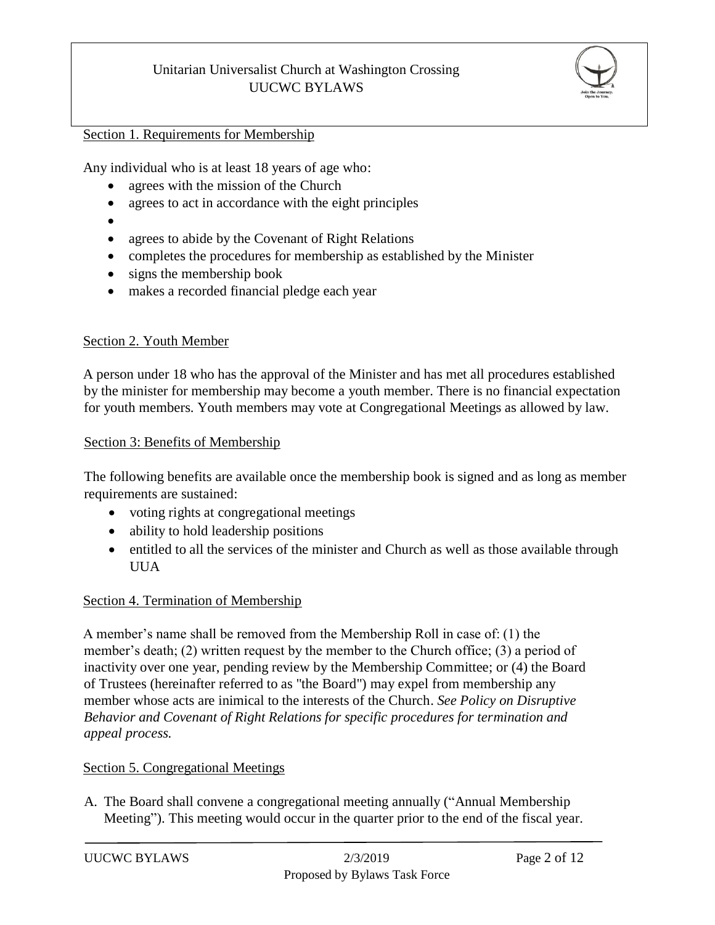

### Section 1. Requirements for Membership

Any individual who is at least 18 years of age who:

- agrees with the mission of the Church
- agrees to act in accordance with the eight principles
- $\bullet$
- agrees to abide by the Covenant of Right Relations
- completes the procedures for membership as established by the Minister
- signs the membership book
- makes a recorded financial pledge each year

#### Section 2. Youth Member

A person under 18 who has the approval of the Minister and has met all procedures established by the minister for membership may become a youth member. There is no financial expectation for youth members. Youth members may vote at Congregational Meetings as allowed by law.

#### Section 3: Benefits of Membership

The following benefits are available once the membership book is signed and as long as member requirements are sustained:

- voting rights at congregational meetings
- ability to hold leadership positions
- entitled to all the services of the minister and Church as well as those available through UUA

### Section 4. Termination of Membership

A member's name shall be removed from the Membership Roll in case of: (1) the member's death; (2) written request by the member to the Church office; (3) a period of inactivity over one year, pending review by the Membership Committee; or (4) the Board of Trustees (hereinafter referred to as "the Board") may expel from membership any member whose acts are inimical to the interests of the Church. *See Policy on Disruptive Behavior and Covenant of Right Relations for specific procedures for termination and appeal process.* 

#### Section 5. Congregational Meetings

A. The Board shall convene a congregational meeting annually ("Annual Membership Meeting"). This meeting would occur in the quarter prior to the end of the fiscal year.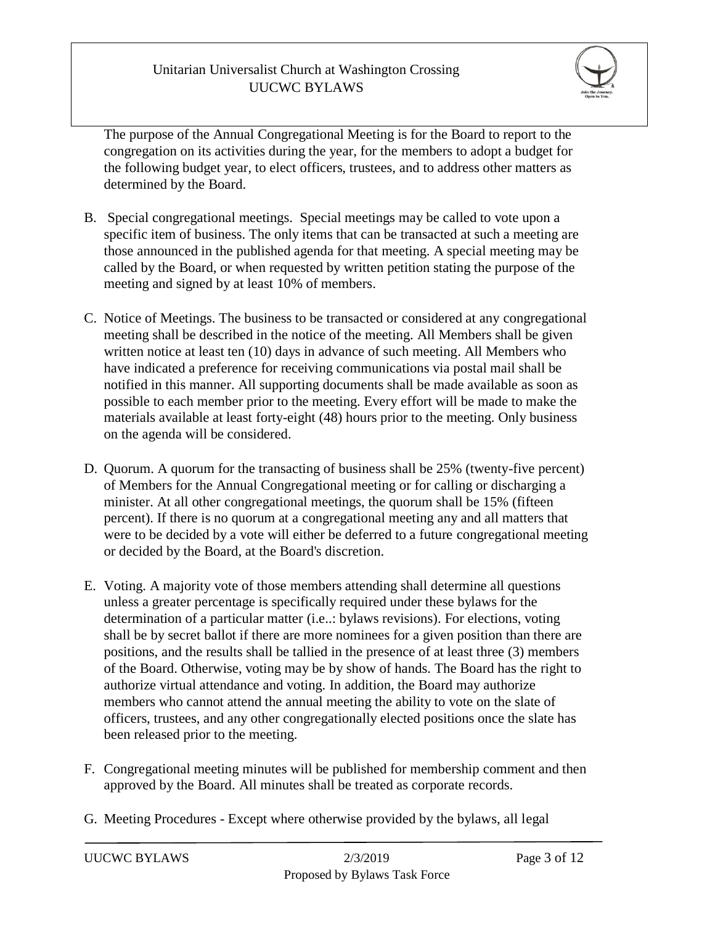

The purpose of the Annual Congregational Meeting is for the Board to report to the congregation on its activities during the year, for the members to adopt a budget for the following budget year, to elect officers, trustees, and to address other matters as determined by the Board.

- B. Special congregational meetings. Special meetings may be called to vote upon a specific item of business. The only items that can be transacted at such a meeting are those announced in the published agenda for that meeting. A special meeting may be called by the Board, or when requested by written petition stating the purpose of the meeting and signed by at least 10% of members.
- C. Notice of Meetings. The business to be transacted or considered at any congregational meeting shall be described in the notice of the meeting. All Members shall be given written notice at least ten (10) days in advance of such meeting. All Members who have indicated a preference for receiving communications via postal mail shall be notified in this manner. All supporting documents shall be made available as soon as possible to each member prior to the meeting. Every effort will be made to make the materials available at least forty-eight (48) hours prior to the meeting. Only business on the agenda will be considered.
- D. Quorum. A quorum for the transacting of business shall be 25% (twenty-five percent) of Members for the Annual Congregational meeting or for calling or discharging a minister. At all other congregational meetings, the quorum shall be 15% (fifteen percent). If there is no quorum at a congregational meeting any and all matters that were to be decided by a vote will either be deferred to a future congregational meeting or decided by the Board, at the Board's discretion.
- E. Voting. A majority vote of those members attending shall determine all questions unless a greater percentage is specifically required under these bylaws for the determination of a particular matter (i.e..: bylaws revisions). For elections, voting shall be by secret ballot if there are more nominees for a given position than there are positions, and the results shall be tallied in the presence of at least three (3) members of the Board. Otherwise, voting may be by show of hands. The Board has the right to authorize virtual attendance and voting. In addition, the Board may authorize members who cannot attend the annual meeting the ability to vote on the slate of officers, trustees, and any other congregationally elected positions once the slate has been released prior to the meeting.
- F. Congregational meeting minutes will be published for membership comment and then approved by the Board. All minutes shall be treated as corporate records.
- G. Meeting Procedures Except where otherwise provided by the bylaws, all legal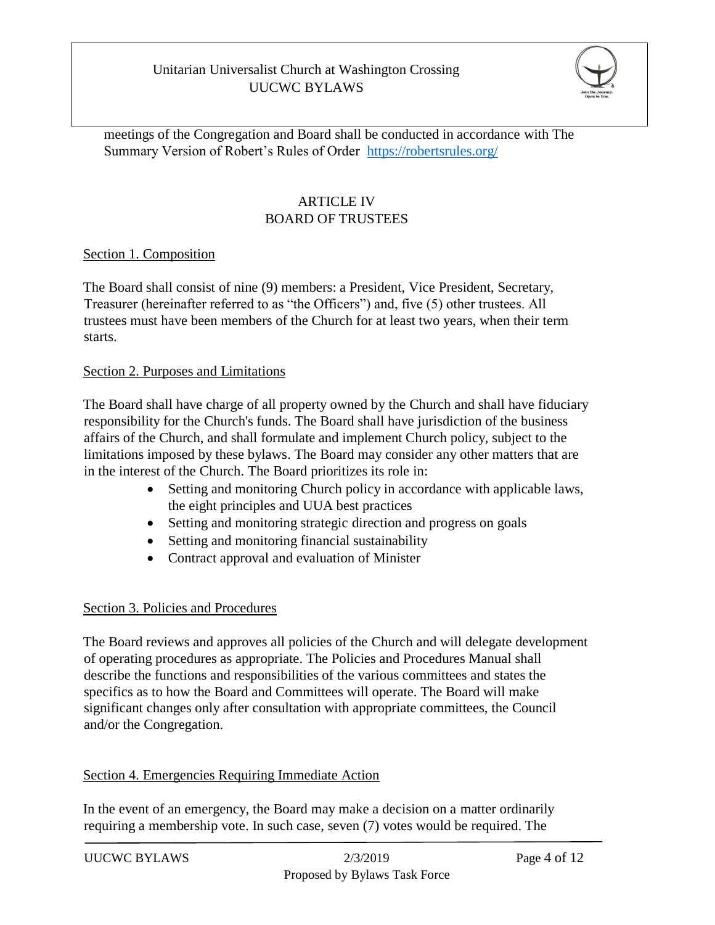

meetings of the Congregation and Board shall be conducted in accordance with The Summary Version of Robert's Rules of Order <https://robertsrules.org/>

# ARTICLE IV BOARD OF TRUSTEES

### Section 1. Composition

The Board shall consist of nine (9) members: a President, Vice President, Secretary, Treasurer (hereinafter referred to as "the Officers") and, five (5) other trustees. All trustees must have been members of the Church for at least two years, when their term starts.

### Section 2. Purposes and Limitations

The Board shall have charge of all property owned by the Church and shall have fiduciary responsibility for the Church's funds. The Board shall have jurisdiction of the business affairs of the Church, and shall formulate and implement Church policy, subject to the limitations imposed by these bylaws. The Board may consider any other matters that are in the interest of the Church. The Board prioritizes its role in:

- Setting and monitoring Church policy in accordance with applicable laws, the eight principles and UUA best practices
- Setting and monitoring strategic direction and progress on goals
- Setting and monitoring financial sustainability
- Contract approval and evaluation of Minister

### Section 3. Policies and Procedures

The Board reviews and approves all policies of the Church and will delegate development of operating procedures as appropriate. The Policies and Procedures Manual shall describe the functions and responsibilities of the various committees and states the specifics as to how the Board and Committees will operate. The Board will make significant changes only after consultation with appropriate committees, the Council and/or the Congregation.

### Section 4. Emergencies Requiring Immediate Action

In the event of an emergency, the Board may make a decision on a matter ordinarily requiring a membership vote. In such case, seven (7) votes would be required. The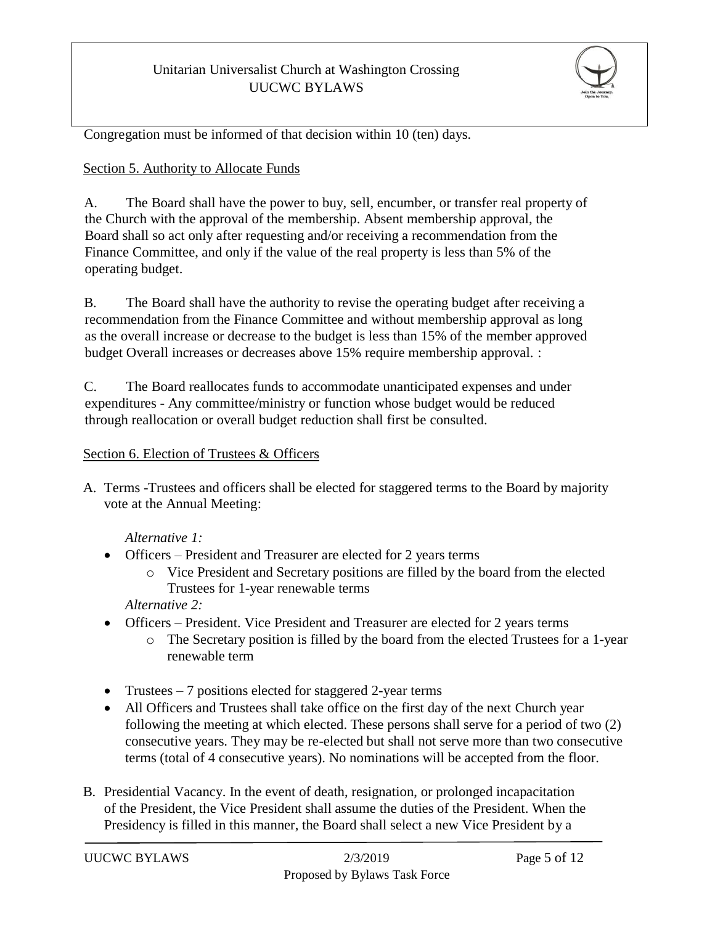

Congregation must be informed of that decision within 10 (ten) days.

### Section 5. Authority to Allocate Funds

A. The Board shall have the power to buy, sell, encumber, or transfer real property of the Church with the approval of the membership. Absent membership approval, the Board shall so act only after requesting and/or receiving a recommendation from the Finance Committee, and only if the value of the real property is less than 5% of the operating budget.

B. The Board shall have the authority to revise the operating budget after receiving a recommendation from the Finance Committee and without membership approval as long as the overall increase or decrease to the budget is less than 15% of the member approved budget Overall increases or decreases above 15% require membership approval. :

C. The Board reallocates funds to accommodate unanticipated expenses and under expenditures - Any committee/ministry or function whose budget would be reduced through reallocation or overall budget reduction shall first be consulted.

### Section 6. Election of Trustees & Officers

A. Terms -Trustees and officers shall be elected for staggered terms to the Board by majority vote at the Annual Meeting:

*Alternative 1:*

- Officers President and Treasurer are elected for 2 years terms
	- o Vice President and Secretary positions are filled by the board from the elected Trustees for 1-year renewable terms

*Alternative 2:*

- Officers President. Vice President and Treasurer are elected for 2 years terms
	- $\circ$  The Secretary position is filled by the board from the elected Trustees for a 1-year renewable term
- Trustees 7 positions elected for staggered 2-year terms
- All Officers and Trustees shall take office on the first day of the next Church year following the meeting at which elected. These persons shall serve for a period of two (2) consecutive years. They may be re-elected but shall not serve more than two consecutive terms (total of 4 consecutive years). No nominations will be accepted from the floor.
- B. Presidential Vacancy. In the event of death, resignation, or prolonged incapacitation of the President, the Vice President shall assume the duties of the President. When the Presidency is filled in this manner, the Board shall select a new Vice President by a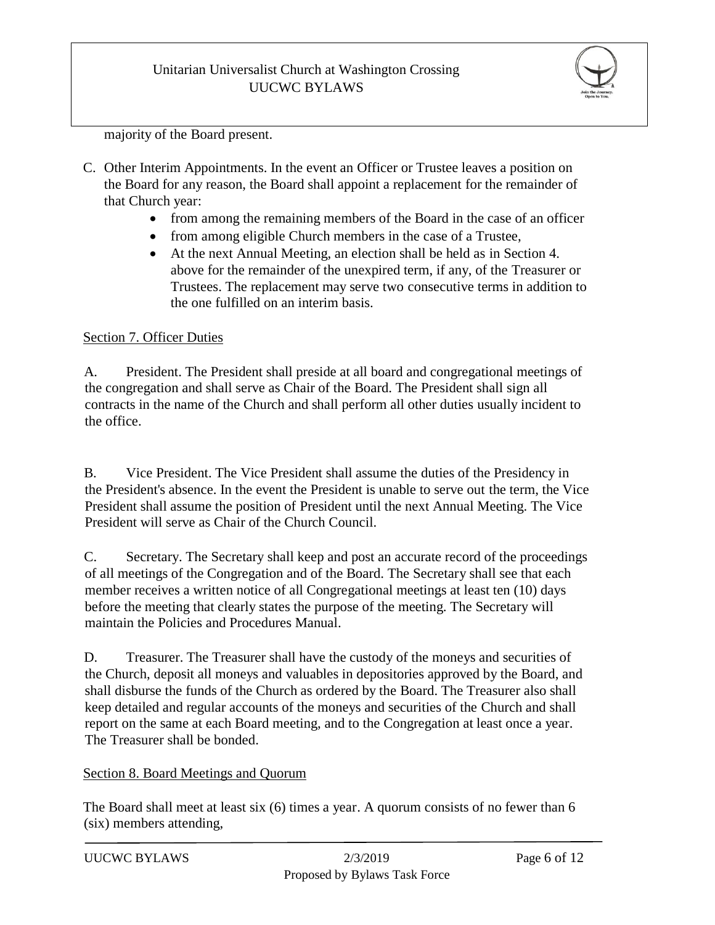

majority of the Board present.

- C. Other Interim Appointments. In the event an Officer or Trustee leaves a position on the Board for any reason, the Board shall appoint a replacement for the remainder of that Church year:
	- from among the remaining members of the Board in the case of an officer
	- from among eligible Church members in the case of a Trustee,
	- At the next Annual Meeting, an election shall be held as in Section 4. above for the remainder of the unexpired term, if any, of the Treasurer or Trustees. The replacement may serve two consecutive terms in addition to the one fulfilled on an interim basis.

#### Section 7. Officer Duties

A. President. The President shall preside at all board and congregational meetings of the congregation and shall serve as Chair of the Board. The President shall sign all contracts in the name of the Church and shall perform all other duties usually incident to the office.

B. Vice President. The Vice President shall assume the duties of the Presidency in the President's absence. In the event the President is unable to serve out the term, the Vice President shall assume the position of President until the next Annual Meeting. The Vice President will serve as Chair of the Church Council.

C. Secretary. The Secretary shall keep and post an accurate record of the proceedings of all meetings of the Congregation and of the Board. The Secretary shall see that each member receives a written notice of all Congregational meetings at least ten (10) days before the meeting that clearly states the purpose of the meeting. The Secretary will maintain the Policies and Procedures Manual.

D. Treasurer. The Treasurer shall have the custody of the moneys and securities of the Church, deposit all moneys and valuables in depositories approved by the Board, and shall disburse the funds of the Church as ordered by the Board. The Treasurer also shall keep detailed and regular accounts of the moneys and securities of the Church and shall report on the same at each Board meeting, and to the Congregation at least once a year. The Treasurer shall be bonded.

#### Section 8. Board Meetings and Quorum

The Board shall meet at least six (6) times a year. A quorum consists of no fewer than 6 (six) members attending,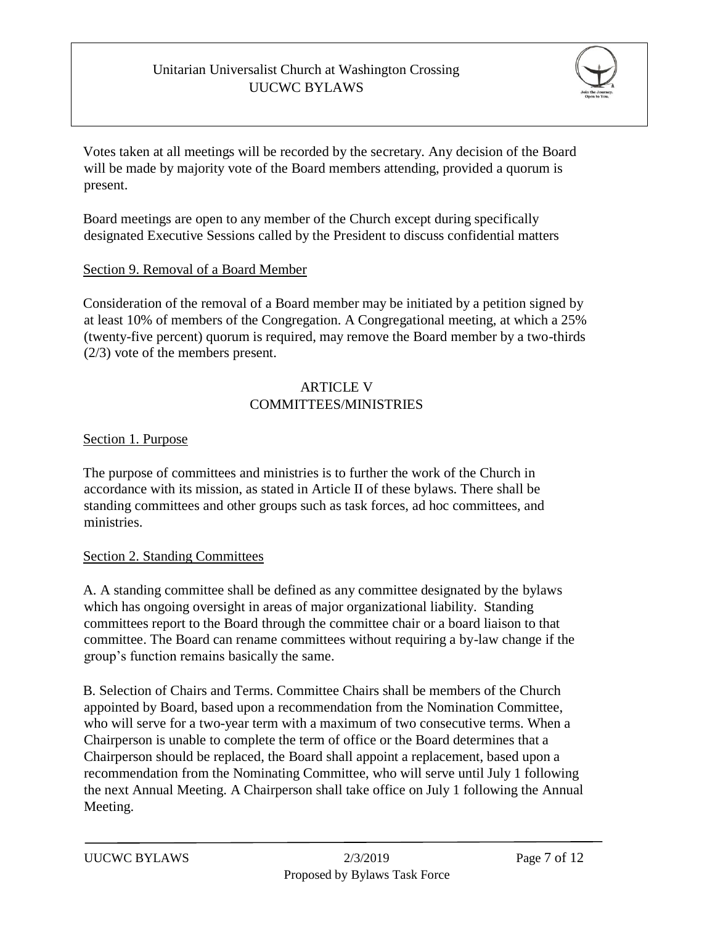

Votes taken at all meetings will be recorded by the secretary. Any decision of the Board will be made by majority vote of the Board members attending, provided a quorum is present.

Board meetings are open to any member of the Church except during specifically designated Executive Sessions called by the President to discuss confidential matters

### Section 9. Removal of a Board Member

Consideration of the removal of a Board member may be initiated by a petition signed by at least 10% of members of the Congregation. A Congregational meeting, at which a 25% (twenty-five percent) quorum is required, may remove the Board member by a two-thirds (2/3) vote of the members present.

### ARTICLE V COMMITTEES/MINISTRIES

### Section 1. Purpose

The purpose of committees and ministries is to further the work of the Church in accordance with its mission, as stated in Article II of these bylaws. There shall be standing committees and other groups such as task forces, ad hoc committees, and ministries.

### Section 2. Standing Committees

A. A standing committee shall be defined as any committee designated by the bylaws which has ongoing oversight in areas of major organizational liability. Standing committees report to the Board through the committee chair or a board liaison to that committee. The Board can rename committees without requiring a by-law change if the group's function remains basically the same.

B. Selection of Chairs and Terms. Committee Chairs shall be members of the Church appointed by Board, based upon a recommendation from the Nomination Committee, who will serve for a two-year term with a maximum of two consecutive terms. When a Chairperson is unable to complete the term of office or the Board determines that a Chairperson should be replaced, the Board shall appoint a replacement, based upon a recommendation from the Nominating Committee, who will serve until July 1 following the next Annual Meeting. A Chairperson shall take office on July 1 following the Annual Meeting.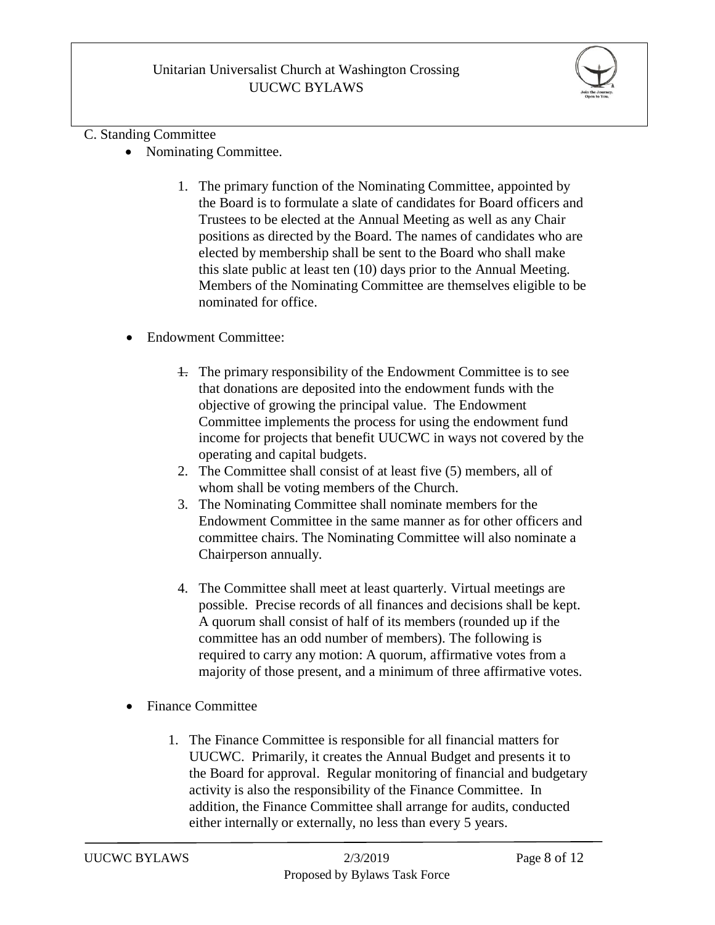

#### C. Standing Committee

- Nominating Committee.
	- 1. The primary function of the Nominating Committee, appointed by the Board is to formulate a slate of candidates for Board officers and Trustees to be elected at the Annual Meeting as well as any Chair positions as directed by the Board. The names of candidates who are elected by membership shall be sent to the Board who shall make this slate public at least ten (10) days prior to the Annual Meeting. Members of the Nominating Committee are themselves eligible to be nominated for office.
- Endowment Committee:
	- 1. The primary responsibility of the Endowment Committee is to see that donations are deposited into the endowment funds with the objective of growing the principal value. The Endowment Committee implements the process for using the endowment fund income for projects that benefit UUCWC in ways not covered by the operating and capital budgets.
	- 2. The Committee shall consist of at least five (5) members, all of whom shall be voting members of the Church.
	- 3. The Nominating Committee shall nominate members for the Endowment Committee in the same manner as for other officers and committee chairs. The Nominating Committee will also nominate a Chairperson annually.
	- 4. The Committee shall meet at least quarterly. Virtual meetings are possible. Precise records of all finances and decisions shall be kept. A quorum shall consist of half of its members (rounded up if the committee has an odd number of members). The following is required to carry any motion: A quorum, affirmative votes from a majority of those present, and a minimum of three affirmative votes.
- Finance Committee
	- 1. The Finance Committee is responsible for all financial matters for UUCWC. Primarily, it creates the Annual Budget and presents it to the Board for approval. Regular monitoring of financial and budgetary activity is also the responsibility of the Finance Committee. In addition, the Finance Committee shall arrange for audits, conducted either internally or externally, no less than every 5 years.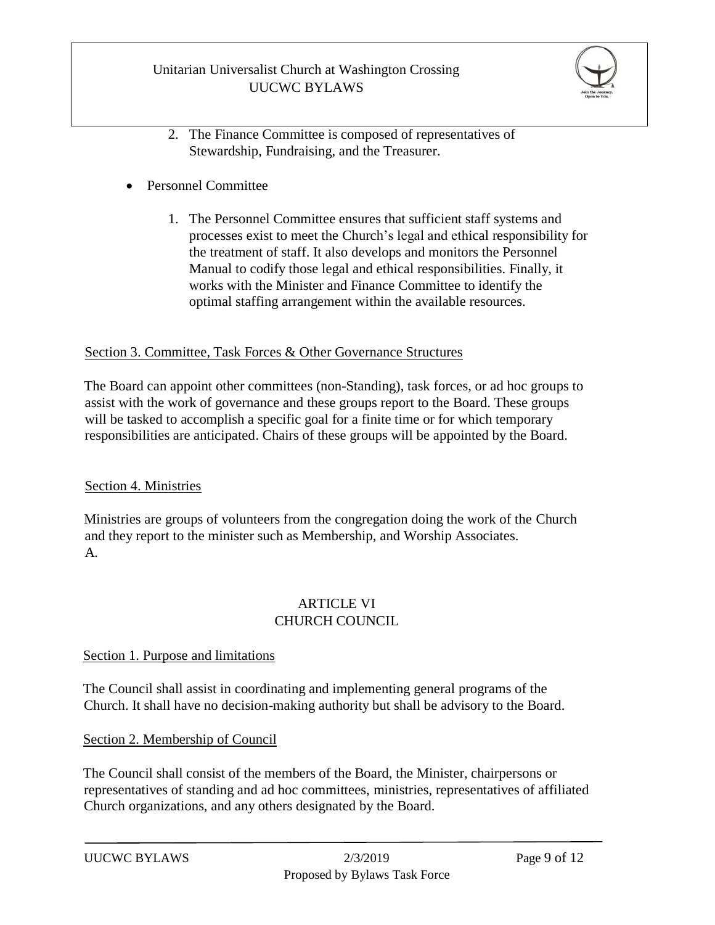

- 2. The Finance Committee is composed of representatives of Stewardship, Fundraising, and the Treasurer.
- Personnel Committee
	- 1. The Personnel Committee ensures that sufficient staff systems and processes exist to meet the Church's legal and ethical responsibility for the treatment of staff. It also develops and monitors the Personnel Manual to codify those legal and ethical responsibilities. Finally, it works with the Minister and Finance Committee to identify the optimal staffing arrangement within the available resources.

#### Section 3. Committee, Task Forces & Other Governance Structures

The Board can appoint other committees (non-Standing), task forces, or ad hoc groups to assist with the work of governance and these groups report to the Board. These groups will be tasked to accomplish a specific goal for a finite time or for which temporary responsibilities are anticipated. Chairs of these groups will be appointed by the Board.

### Section 4. Ministries

Ministries are groups of volunteers from the congregation doing the work of the Church and they report to the minister such as Membership, and Worship Associates. A.

### ARTICLE VI CHURCH COUNCIL

#### Section 1. Purpose and limitations

The Council shall assist in coordinating and implementing general programs of the Church. It shall have no decision-making authority but shall be advisory to the Board.

### Section 2. Membership of Council

The Council shall consist of the members of the Board, the Minister, chairpersons or representatives of standing and ad hoc committees, ministries, representatives of affiliated Church organizations, and any others designated by the Board.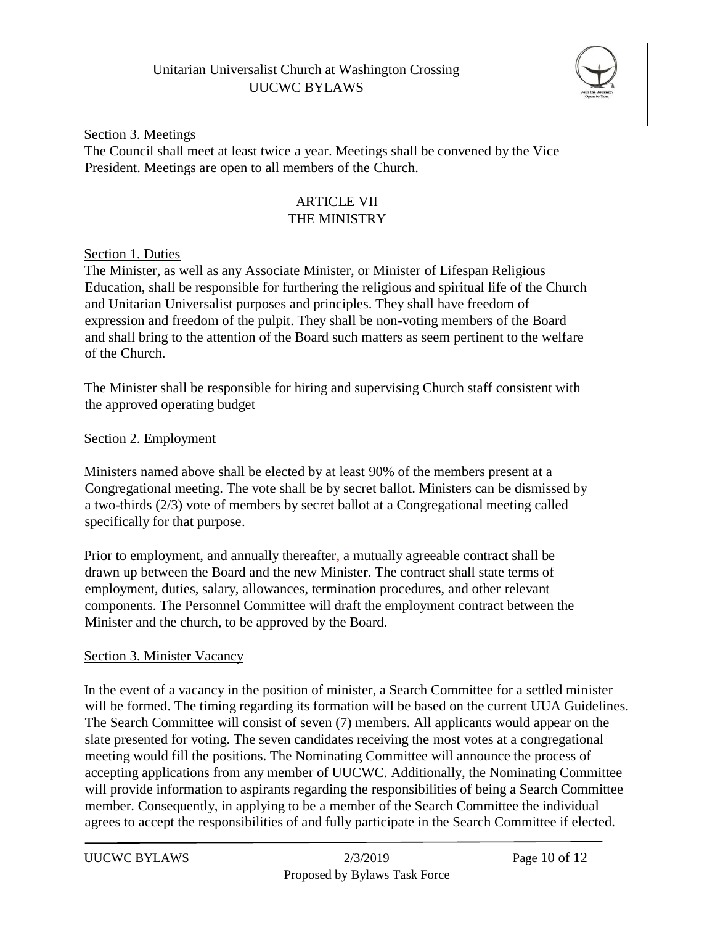

Section 3. Meetings The Council shall meet at least twice a year. Meetings shall be convened by the Vice President. Meetings are open to all members of the Church.

# ARTICLE VII THE MINISTRY

### Section 1. Duties

The Minister, as well as any Associate Minister, or Minister of Lifespan Religious Education, shall be responsible for furthering the religious and spiritual life of the Church and Unitarian Universalist purposes and principles. They shall have freedom of expression and freedom of the pulpit. They shall be non-voting members of the Board and shall bring to the attention of the Board such matters as seem pertinent to the welfare of the Church.

The Minister shall be responsible for hiring and supervising Church staff consistent with the approved operating budget

### Section 2. Employment

Ministers named above shall be elected by at least 90% of the members present at a Congregational meeting. The vote shall be by secret ballot. Ministers can be dismissed by a two-thirds (2/3) vote of members by secret ballot at a Congregational meeting called specifically for that purpose.

Prior to employment, and annually thereafter, a mutually agreeable contract shall be drawn up between the Board and the new Minister. The contract shall state terms of employment, duties, salary, allowances, termination procedures, and other relevant components. The Personnel Committee will draft the employment contract between the Minister and the church, to be approved by the Board.

### Section 3. Minister Vacancy

In the event of a vacancy in the position of minister, a Search Committee for a settled minister will be formed. The timing regarding its formation will be based on the current UUA Guidelines. The Search Committee will consist of seven (7) members. All applicants would appear on the slate presented for voting. The seven candidates receiving the most votes at a congregational meeting would fill the positions. The Nominating Committee will announce the process of accepting applications from any member of UUCWC. Additionally, the Nominating Committee will provide information to aspirants regarding the responsibilities of being a Search Committee member. Consequently, in applying to be a member of the Search Committee the individual agrees to accept the responsibilities of and fully participate in the Search Committee if elected.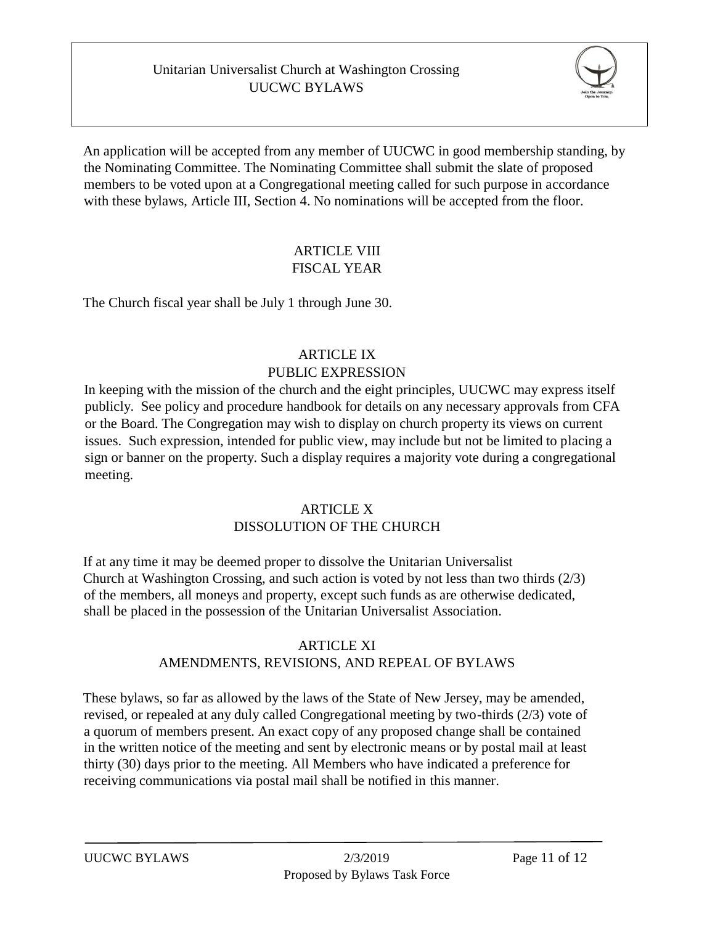

An application will be accepted from any member of UUCWC in good membership standing, by the Nominating Committee. The Nominating Committee shall submit the slate of proposed members to be voted upon at a Congregational meeting called for such purpose in accordance with these bylaws, Article III, Section 4. No nominations will be accepted from the floor.

# ARTICLE VIII FISCAL YEAR

The Church fiscal year shall be July 1 through June 30.

# ARTICLE IX PUBLIC EXPRESSION

In keeping with the mission of the church and the eight principles, UUCWC may express itself publicly. See policy and procedure handbook for details on any necessary approvals from CFA or the Board. The Congregation may wish to display on church property its views on current issues. Such expression, intended for public view, may include but not be limited to placing a sign or banner on the property. Such a display requires a majority vote during a congregational meeting.

#### **ARTICLE X** DISSOLUTION OF THE CHURCH

If at any time it may be deemed proper to dissolve the Unitarian Universalist Church at Washington Crossing, and such action is voted by not less than two thirds (2/3) of the members, all moneys and property, except such funds as are otherwise dedicated, shall be placed in the possession of the Unitarian Universalist Association.

### ARTICLE XI

# AMENDMENTS, REVISIONS, AND REPEAL OF BYLAWS

These bylaws, so far as allowed by the laws of the State of New Jersey, may be amended, revised, or repealed at any duly called Congregational meeting by two-thirds (2/3) vote of a quorum of members present. An exact copy of any proposed change shall be contained in the written notice of the meeting and sent by electronic means or by postal mail at least thirty (30) days prior to the meeting. All Members who have indicated a preference for receiving communications via postal mail shall be notified in this manner.